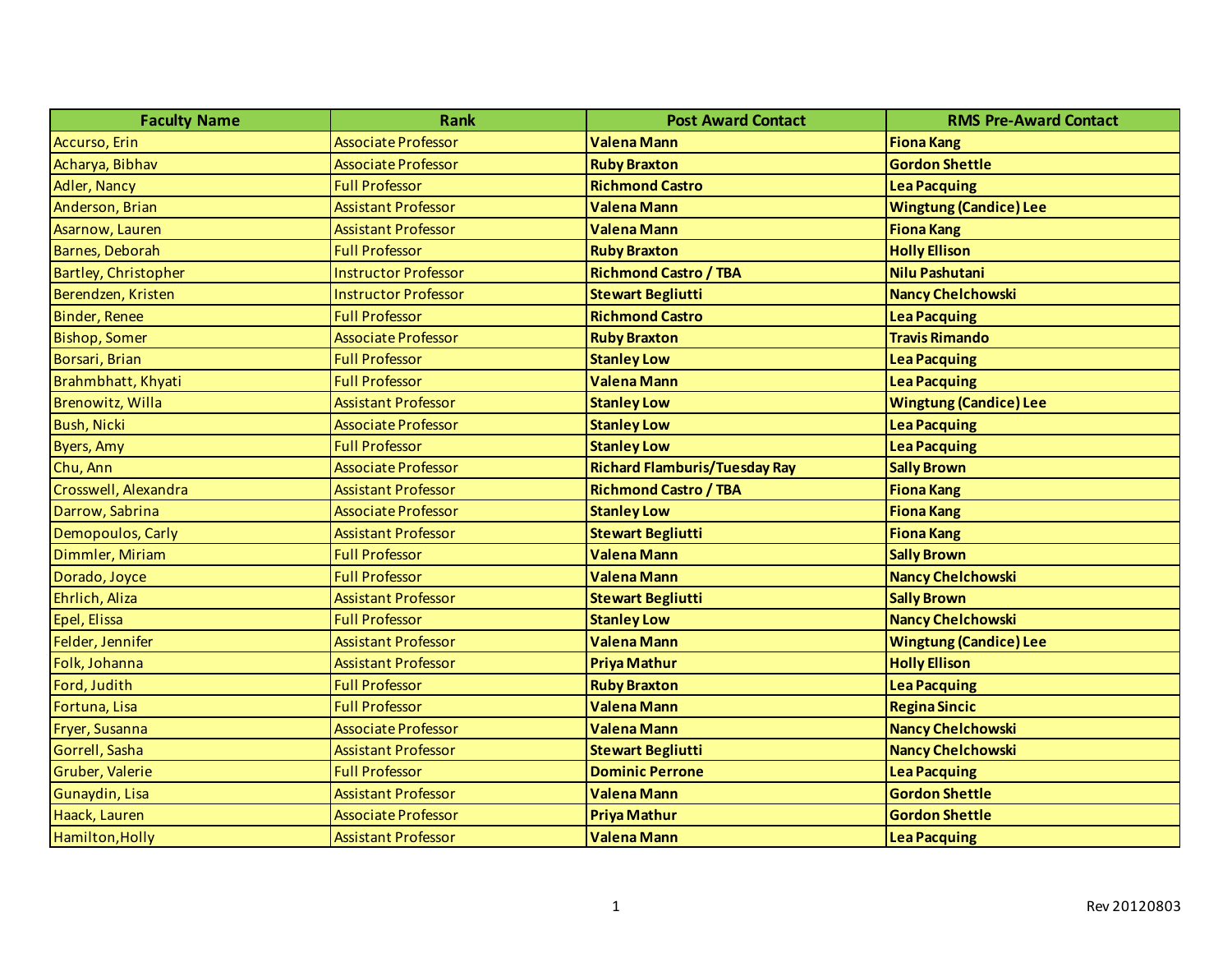| <b>Faculty Name</b>         | <b>Rank</b>                 | <b>Post Award Contact</b>            | <b>RMS Pre-Award Contact</b>  |
|-----------------------------|-----------------------------|--------------------------------------|-------------------------------|
| Accurso, Erin               | <b>Associate Professor</b>  | <b>Valena Mann</b>                   | <b>Fiona Kang</b>             |
| Acharya, Bibhav             | <b>Associate Professor</b>  | <b>Ruby Braxton</b>                  | <b>Gordon Shettle</b>         |
| Adler, Nancy                | <b>Full Professor</b>       | <b>Richmond Castro</b>               | <b>Lea Pacquing</b>           |
| Anderson, Brian             | <b>Assistant Professor</b>  | <b>Valena Mann</b>                   | <b>Wingtung (Candice) Lee</b> |
| Asarnow, Lauren             | <b>Assistant Professor</b>  | <b>Valena Mann</b>                   | <b>Fiona Kang</b>             |
| Barnes, Deborah             | <b>Full Professor</b>       | <b>Ruby Braxton</b>                  | <b>Holly Ellison</b>          |
| <b>Bartley, Christopher</b> | <b>Instructor Professor</b> | <b>Richmond Castro / TBA</b>         | Nilu Pashutani                |
| Berendzen, Kristen          | <b>Instructor Professor</b> | <b>Stewart Begliutti</b>             | <b>Nancy Chelchowski</b>      |
| Binder, Renee               | <b>Full Professor</b>       | <b>Richmond Castro</b>               | <b>Lea Pacquing</b>           |
| <b>Bishop, Somer</b>        | <b>Associate Professor</b>  | <b>Ruby Braxton</b>                  | <b>Travis Rimando</b>         |
| Borsari, Brian              | <b>Full Professor</b>       | <b>Stanley Low</b>                   | <b>Lea Pacquing</b>           |
| Brahmbhatt, Khyati          | <b>Full Professor</b>       | <b>Valena Mann</b>                   | <b>Lea Pacquing</b>           |
| Brenowitz, Willa            | <b>Assistant Professor</b>  | <b>Stanley Low</b>                   | <b>Wingtung (Candice) Lee</b> |
| <b>Bush, Nicki</b>          | <b>Associate Professor</b>  | <b>Stanley Low</b>                   | <b>Lea Pacquing</b>           |
| Byers, Amy                  | <b>Full Professor</b>       | <b>Stanley Low</b>                   | <b>Lea Pacquing</b>           |
| Chu, Ann                    | <b>Associate Professor</b>  | <b>Richard Flamburis/Tuesday Ray</b> | <b>Sally Brown</b>            |
| Crosswell, Alexandra        | <b>Assistant Professor</b>  | <b>Richmond Castro / TBA</b>         | <b>Fiona Kang</b>             |
| Darrow, Sabrina             | <b>Associate Professor</b>  | <b>Stanley Low</b>                   | <b>Fiona Kang</b>             |
| Demopoulos, Carly           | <b>Assistant Professor</b>  | <b>Stewart Begliutti</b>             | <b>Fiona Kang</b>             |
| Dimmler, Miriam             | <b>Full Professor</b>       | <b>Valena Mann</b>                   | <b>Sally Brown</b>            |
| Dorado, Joyce               | <b>Full Professor</b>       | <b>Valena Mann</b>                   | <b>Nancy Chelchowski</b>      |
| Ehrlich, Aliza              | <b>Assistant Professor</b>  | <b>Stewart Begliutti</b>             | <b>Sally Brown</b>            |
| Epel, Elissa                | <b>Full Professor</b>       | <b>Stanley Low</b>                   | <b>Nancy Chelchowski</b>      |
| Felder, Jennifer            | <b>Assistant Professor</b>  | <b>Valena Mann</b>                   | <b>Wingtung (Candice) Lee</b> |
| Folk, Johanna               | <b>Assistant Professor</b>  | <b>Priya Mathur</b>                  | <b>Holly Ellison</b>          |
| Ford, Judith                | <b>Full Professor</b>       | <b>Ruby Braxton</b>                  | <b>Lea Pacquing</b>           |
| Fortuna, Lisa               | <b>Full Professor</b>       | <b>Valena Mann</b>                   | <b>Regina Sincic</b>          |
| Fryer, Susanna              | <b>Associate Professor</b>  | <b>Valena Mann</b>                   | <b>Nancy Chelchowski</b>      |
| Gorrell, Sasha              | <b>Assistant Professor</b>  | <b>Stewart Begliutti</b>             | <b>Nancy Chelchowski</b>      |
| Gruber, Valerie             | <b>Full Professor</b>       | <b>Dominic Perrone</b>               | <b>Lea Pacquing</b>           |
| Gunaydin, Lisa              | <b>Assistant Professor</b>  | <b>Valena Mann</b>                   | <b>Gordon Shettle</b>         |
| Haack, Lauren               | <b>Associate Professor</b>  | <b>Priya Mathur</b>                  | <b>Gordon Shettle</b>         |
| Hamilton, Holly             | <b>Assistant Professor</b>  | <b>Valena Mann</b>                   | <b>Lea Pacquing</b>           |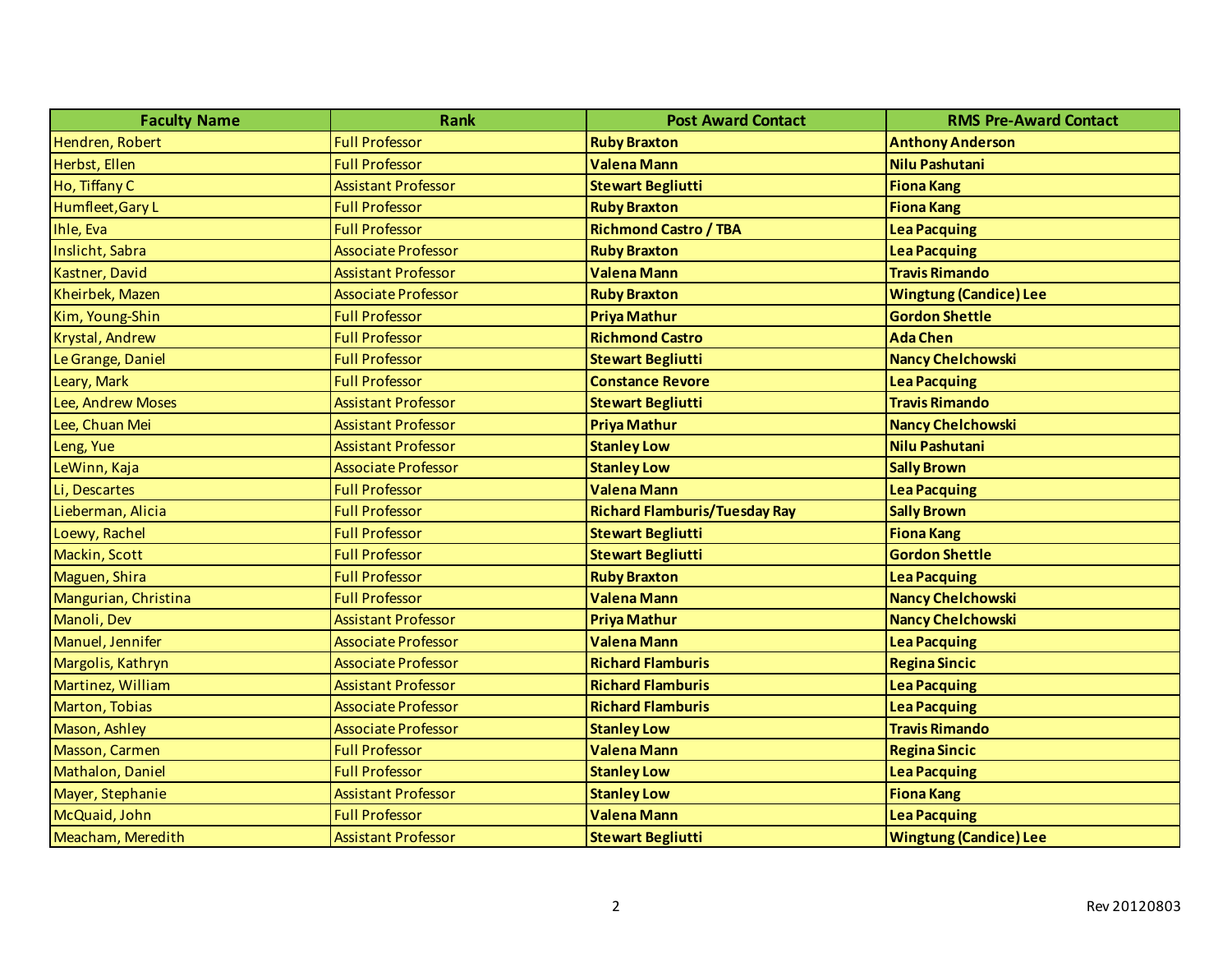| <b>Faculty Name</b>  | <b>Rank</b>                | <b>Post Award Contact</b>            | <b>RMS Pre-Award Contact</b>  |
|----------------------|----------------------------|--------------------------------------|-------------------------------|
| Hendren, Robert      | <b>Full Professor</b>      | <b>Ruby Braxton</b>                  | <b>Anthony Anderson</b>       |
| Herbst, Ellen        | <b>Full Professor</b>      | <b>Valena Mann</b>                   | Nilu Pashutani                |
| Ho, Tiffany C        | <b>Assistant Professor</b> | <b>Stewart Begliutti</b>             | <b>Fiona Kang</b>             |
| Humfleet, Gary L     | <b>Full Professor</b>      | <b>Ruby Braxton</b>                  | <b>Fiona Kang</b>             |
| Ihle, Eva            | <b>Full Professor</b>      | <b>Richmond Castro / TBA</b>         | <b>Lea Pacquing</b>           |
| Inslicht, Sabra      | <b>Associate Professor</b> | <b>Ruby Braxton</b>                  | <b>Lea Pacquing</b>           |
| Kastner, David       | <b>Assistant Professor</b> | <b>Valena Mann</b>                   | <b>Travis Rimando</b>         |
| Kheirbek, Mazen      | <b>Associate Professor</b> | <b>Ruby Braxton</b>                  | <b>Wingtung (Candice) Lee</b> |
| Kim, Young-Shin      | <b>Full Professor</b>      | <b>Priya Mathur</b>                  | <b>Gordon Shettle</b>         |
| Krystal, Andrew      | <b>Full Professor</b>      | <b>Richmond Castro</b>               | <b>Ada Chen</b>               |
| Le Grange, Daniel    | <b>Full Professor</b>      | <b>Stewart Begliutti</b>             | <b>Nancy Chelchowski</b>      |
| Leary, Mark          | <b>Full Professor</b>      | <b>Constance Revore</b>              | <b>Lea Pacquing</b>           |
| Lee, Andrew Moses    | <b>Assistant Professor</b> | <b>Stewart Begliutti</b>             | <b>Travis Rimando</b>         |
| Lee, Chuan Mei       | <b>Assistant Professor</b> | <b>Priya Mathur</b>                  | <b>Nancy Chelchowski</b>      |
| Leng, Yue            | <b>Assistant Professor</b> | <b>Stanley Low</b>                   | Nilu Pashutani                |
| LeWinn, Kaja         | <b>Associate Professor</b> | <b>Stanley Low</b>                   | <b>Sally Brown</b>            |
| Li, Descartes        | <b>Full Professor</b>      | <b>Valena Mann</b>                   | <b>Lea Pacquing</b>           |
| Lieberman, Alicia    | <b>Full Professor</b>      | <b>Richard Flamburis/Tuesday Ray</b> | <b>Sally Brown</b>            |
| Loewy, Rachel        | <b>Full Professor</b>      | <b>Stewart Begliutti</b>             | <b>Fiona Kang</b>             |
| Mackin, Scott        | <b>Full Professor</b>      | <b>Stewart Begliutti</b>             | <b>Gordon Shettle</b>         |
| Maguen, Shira        | <b>Full Professor</b>      | <b>Ruby Braxton</b>                  | <b>Lea Pacquing</b>           |
| Mangurian, Christina | <b>Full Professor</b>      | <b>Valena Mann</b>                   | <b>Nancy Chelchowski</b>      |
| Manoli, Dev          | <b>Assistant Professor</b> | <b>Priya Mathur</b>                  | <b>Nancy Chelchowski</b>      |
| Manuel, Jennifer     | <b>Associate Professor</b> | <b>Valena Mann</b>                   | <b>Lea Pacquing</b>           |
| Margolis, Kathryn    | <b>Associate Professor</b> | <b>Richard Flamburis</b>             | <b>Regina Sincic</b>          |
| Martinez, William    | <b>Assistant Professor</b> | <b>Richard Flamburis</b>             | <b>Lea Pacquing</b>           |
| Marton, Tobias       | <b>Associate Professor</b> | <b>Richard Flamburis</b>             | <b>Lea Pacquing</b>           |
| Mason, Ashley        | <b>Associate Professor</b> | <b>Stanley Low</b>                   | <b>Travis Rimando</b>         |
| Masson, Carmen       | <b>Full Professor</b>      | <b>Valena Mann</b>                   | <b>Regina Sincic</b>          |
| Mathalon, Daniel     | <b>Full Professor</b>      | <b>Stanley Low</b>                   | <b>Lea Pacquing</b>           |
| Mayer, Stephanie     | <b>Assistant Professor</b> | <b>Stanley Low</b>                   | <b>Fiona Kang</b>             |
| McQuaid, John        | <b>Full Professor</b>      | <b>Valena Mann</b>                   | <b>Lea Pacquing</b>           |
| Meacham, Meredith    | <b>Assistant Professor</b> | <b>Stewart Begliutti</b>             | <b>Wingtung (Candice) Lee</b> |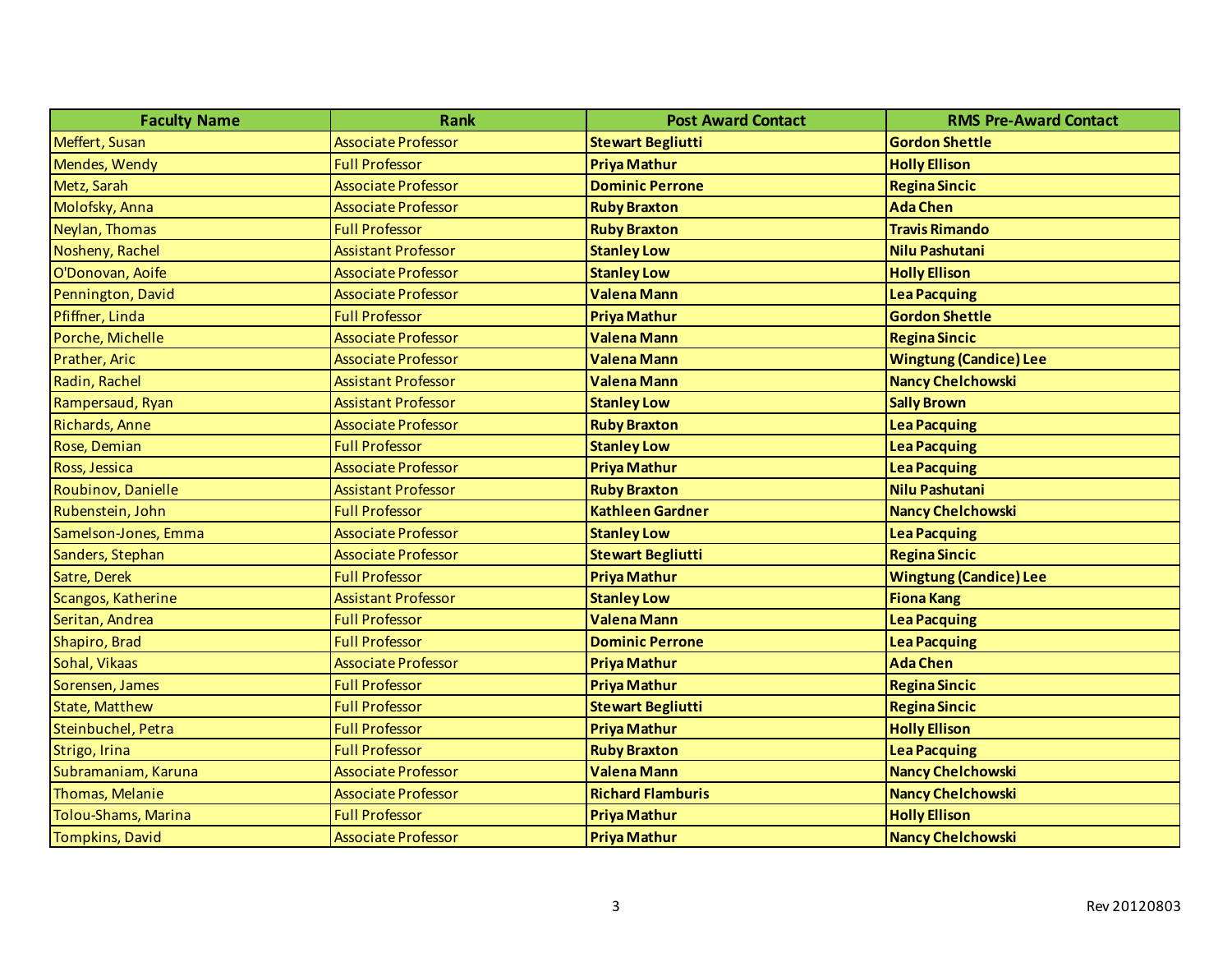| <b>Faculty Name</b>        | <b>Rank</b>                | <b>Post Award Contact</b> | <b>RMS Pre-Award Contact</b>  |
|----------------------------|----------------------------|---------------------------|-------------------------------|
| Meffert, Susan             | <b>Associate Professor</b> | <b>Stewart Begliutti</b>  | <b>Gordon Shettle</b>         |
| Mendes, Wendy              | <b>Full Professor</b>      | <b>Priya Mathur</b>       | <b>Holly Ellison</b>          |
| Metz, Sarah                | <b>Associate Professor</b> | <b>Dominic Perrone</b>    | <b>Regina Sincic</b>          |
| Molofsky, Anna             | <b>Associate Professor</b> | <b>Ruby Braxton</b>       | <b>Ada Chen</b>               |
| Neylan, Thomas             | <b>Full Professor</b>      | <b>Ruby Braxton</b>       | <b>Travis Rimando</b>         |
| Nosheny, Rachel            | <b>Assistant Professor</b> | <b>Stanley Low</b>        | Nilu Pashutani                |
| O'Donovan, Aoife           | <b>Associate Professor</b> | <b>Stanley Low</b>        | <b>Holly Ellison</b>          |
| Pennington, David          | <b>Associate Professor</b> | <b>Valena Mann</b>        | <b>Lea Pacquing</b>           |
| Pfiffner, Linda            | <b>Full Professor</b>      | <b>Priya Mathur</b>       | <b>Gordon Shettle</b>         |
| Porche, Michelle           | <b>Associate Professor</b> | <b>Valena Mann</b>        | <b>Regina Sincic</b>          |
| Prather, Aric              | <b>Associate Professor</b> | <b>Valena Mann</b>        | <b>Wingtung (Candice) Lee</b> |
| Radin, Rachel              | <b>Assistant Professor</b> | <b>Valena Mann</b>        | <b>Nancy Chelchowski</b>      |
| Rampersaud, Ryan           | <b>Assistant Professor</b> | <b>Stanley Low</b>        | <b>Sally Brown</b>            |
| <b>Richards, Anne</b>      | <b>Associate Professor</b> | <b>Ruby Braxton</b>       | <b>Lea Pacquing</b>           |
| Rose, Demian               | <b>Full Professor</b>      | <b>Stanley Low</b>        | <b>Lea Pacquing</b>           |
| Ross, Jessica              | <b>Associate Professor</b> | <b>Priya Mathur</b>       | <b>Lea Pacquing</b>           |
| Roubinov, Danielle         | <b>Assistant Professor</b> | <b>Ruby Braxton</b>       | Nilu Pashutani                |
| Rubenstein, John           | <b>Full Professor</b>      | <b>Kathleen Gardner</b>   | Nancy Chelchowski             |
| Samelson-Jones, Emma       | <b>Associate Professor</b> | <b>Stanley Low</b>        | <b>Lea Pacquing</b>           |
| Sanders, Stephan           | <b>Associate Professor</b> | <b>Stewart Begliutti</b>  | <b>Regina Sincic</b>          |
| Satre, Derek               | <b>Full Professor</b>      | <b>Priya Mathur</b>       | <b>Wingtung (Candice) Lee</b> |
| Scangos, Katherine         | <b>Assistant Professor</b> | <b>Stanley Low</b>        | <b>Fiona Kang</b>             |
| Seritan, Andrea            | <b>Full Professor</b>      | <b>Valena Mann</b>        | <b>Lea Pacquing</b>           |
| Shapiro, Brad              | <b>Full Professor</b>      | <b>Dominic Perrone</b>    | <b>Lea Pacquing</b>           |
| Sohal, Vikaas              | <b>Associate Professor</b> | <b>Priya Mathur</b>       | <b>Ada Chen</b>               |
| Sorensen, James            | <b>Full Professor</b>      | <b>Priya Mathur</b>       | <b>Regina Sincic</b>          |
| <b>State, Matthew</b>      | <b>Full Professor</b>      | <b>Stewart Begliutti</b>  | <b>Regina Sincic</b>          |
| Steinbuchel, Petra         | <b>Full Professor</b>      | <b>Priya Mathur</b>       | <b>Holly Ellison</b>          |
| Strigo, Irina              | <b>Full Professor</b>      | <b>Ruby Braxton</b>       | <b>Lea Pacquing</b>           |
| Subramaniam, Karuna        | <b>Associate Professor</b> | <b>Valena Mann</b>        | <b>Nancy Chelchowski</b>      |
| Thomas, Melanie            | <b>Associate Professor</b> | <b>Richard Flamburis</b>  | <b>Nancy Chelchowski</b>      |
| <b>Tolou-Shams, Marina</b> | <b>Full Professor</b>      | <b>Priya Mathur</b>       | <b>Holly Ellison</b>          |
| Tompkins, David            | <b>Associate Professor</b> | <b>Priya Mathur</b>       | <b>Nancy Chelchowski</b>      |